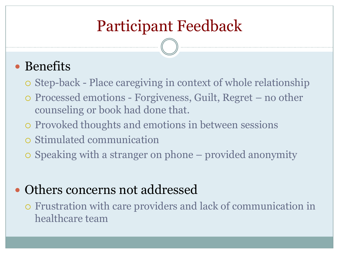## Participant Feedback

#### • Benefits

- Step-back Place caregiving in context of whole relationship
- Processed emotions Forgiveness, Guilt, Regret no other counseling or book had done that.
- Provoked thoughts and emotions in between sessions
- Stimulated communication
- Speaking with a stranger on phone provided anonymity

#### • Others concerns not addressed

 Frustration with care providers and lack of communication in healthcare team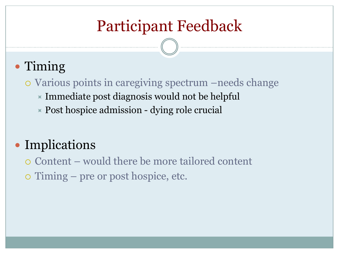## Participant Feedback

### • Timing

Various points in caregiving spectrum –needs change

- $\overline{\phantom{a}}$  Immediate post diagnosis would not be helpful
- $\angle$  Post hospice admission dying role crucial

#### • Implications

- Content would there be more tailored content
- Timing pre or post hospice, etc.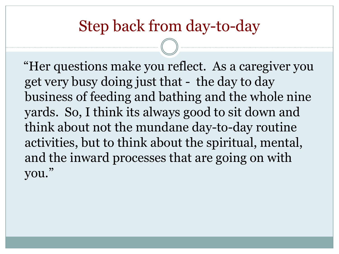### Step back from day-to-day

"Her questions make you reflect. As a caregiver you get very busy doing just that - the day to day business of feeding and bathing and the whole nine yards. So, I think its always good to sit down and think about not the mundane day-to-day routine activities, but to think about the spiritual, mental, and the inward processes that are going on with you."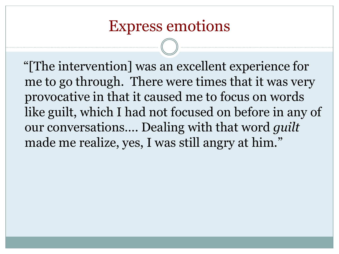#### Express emotions

"[The intervention] was an excellent experience for me to go through. There were times that it was very provocative in that it caused me to focus on words like guilt, which I had not focused on before in any of our conversations…. Dealing with that word *guilt* made me realize, yes, I was still angry at him."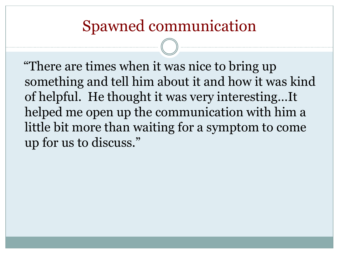## Spawned communication

"There are times when it was nice to bring up something and tell him about it and how it was kind of helpful. He thought it was very interesting…It helped me open up the communication with him a little bit more than waiting for a symptom to come up for us to discuss."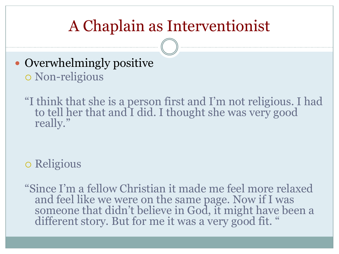## A Chaplain as Interventionist

- Overwhelmingly positive Non-religious
	- "I think that she is a person first and I'm not religious. I had to tell her that and I did. I thought she was very good really."

Religious

"Since I'm a fellow Christian it made me feel more relaxed and feel like we were on the same page. Now if I was someone that didn't believe in God, it might have been a different story. But for me it was a very good fit. "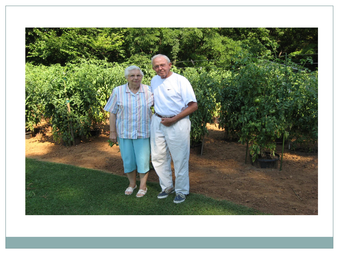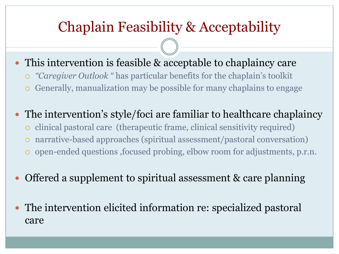#### Chaplain Feasibility & Acceptability

• This intervention is feasible & acceptable to chaplaincy care *"Caregiver Outlook "* has particular benefits for the chaplain's toolkit

Generally, manualization may be possible for many chaplains to engage

• The intervention's style/foci are familiar to healthcare chaplaincy clinical pastoral care (therapeutic frame, clinical sensitivity required) narrative-based approaches (spiritual assessment/pastoral conversation) open-ended questions ,focused probing, elbow room for adjustments, p.r.n.

Offered a supplement to spiritual assessment & care planning

 The intervention elicited information re: specialized pastoral care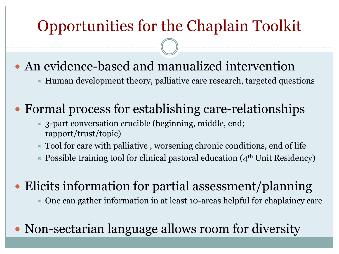## Opportunities for the Chaplain Toolkit

- An evidence-based and manualized intervention
	- $\blacktriangleright$  Human development theory, palliative care research, targeted questions

• Formal process for establishing care-relationships

- 3-part conversation crucible (beginning, middle, end; rapport/trust/topic)
- $\overline{\phantom{a}}$  Tool for care with palliative, worsening chronic conditions, end of life
- $\ast$  Possible training tool for clinical pastoral education (4<sup>th</sup> Unit Residency)
- Elicits information for partial assessment/planning One can gather information in at least 10-areas helpful for chaplaincy care
- Non-sectarian language allows room for diversity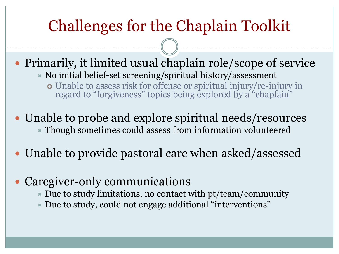### Challenges for the Chaplain Toolkit

 Primarily, it limited usual chaplain role/scope of service  $\angle$  No initial belief-set screening/spiritual history/assessment Unable to assess risk for offense or spiritual injury/re-injury in regard to "forgiveness" topics being explored by a "chaplain"

- Unable to probe and explore spiritual needs/resources  $\times$  Though sometimes could assess from information volunteered
- Unable to provide pastoral care when asked/assessed
- Caregiver-only communications
	- $\blacktriangleright$  Due to study limitations, no contact with pt/team/community
	- $\triangleright$  Due to study, could not engage additional "interventions"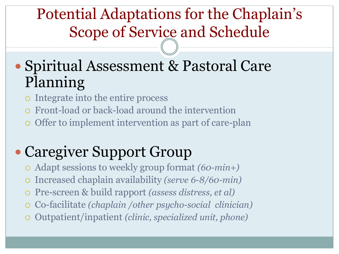## Potential Adaptations for the Chaplain's Scope of Service and Schedule

### • Spiritual Assessment & Pastoral Care Planning

- Integrate into the entire process
- Front-load or back-load around the intervention
- Offer to implement intervention as part of care-plan

# • Caregiver Support Group

- Adapt sessions to weekly group format *(60-min+)*
- Increased chaplain availability *(serve 6-8/60-min)*
- Pre-screen & build rapport *(assess distress, et al)*
- Co-facilitate *(chaplain /other psycho-social clinician)*
- Outpatient/inpatient *(clinic, specialized unit, phone)*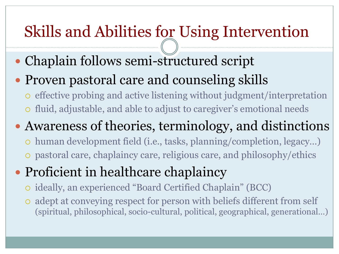## Skills and Abilities for Using Intervention

- Chaplain follows semi-structured script
- Proven pastoral care and counseling skills
	- effective probing and active listening without judgment/interpretation fluid, adjustable, and able to adjust to caregiver's emotional needs

### Awareness of theories, terminology, and distinctions

 human development field (i.e., tasks, planning/completion, legacy…) pastoral care, chaplaincy care, religious care, and philosophy/ethics

## • Proficient in healthcare chaplaincy

- ideally, an experienced "Board Certified Chaplain" (BCC)
- adept at conveying respect for person with beliefs different from self (spiritual, philosophical, socio-cultural, political, geographical, generational…)